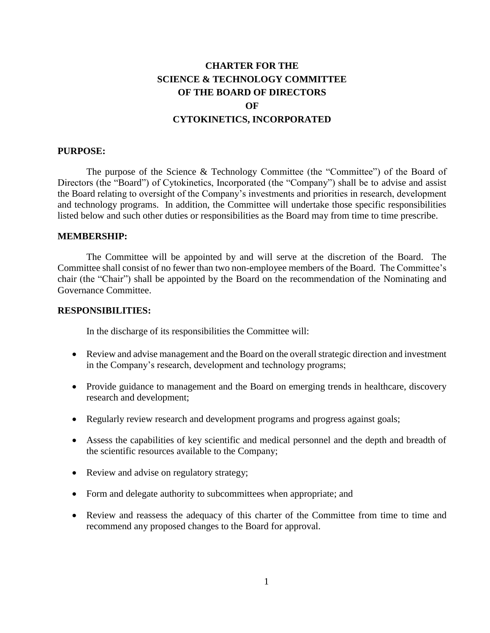# **CHARTER FOR THE SCIENCE & TECHNOLOGY COMMITTEE OF THE BOARD OF DIRECTORS OF CYTOKINETICS, INCORPORATED**

#### **PURPOSE:**

The purpose of the Science & Technology Committee (the "Committee") of the Board of Directors (the "Board") of Cytokinetics, Incorporated (the "Company") shall be to advise and assist the Board relating to oversight of the Company's investments and priorities in research, development and technology programs. In addition, the Committee will undertake those specific responsibilities listed below and such other duties or responsibilities as the Board may from time to time prescribe.

#### **MEMBERSHIP:**

The Committee will be appointed by and will serve at the discretion of the Board. The Committee shall consist of no fewer than two non-employee members of the Board. The Committee's chair (the "Chair") shall be appointed by the Board on the recommendation of the Nominating and Governance Committee.

#### **RESPONSIBILITIES:**

In the discharge of its responsibilities the Committee will:

- Review and advise management and the Board on the overall strategic direction and investment in the Company's research, development and technology programs;
- Provide guidance to management and the Board on emerging trends in healthcare, discovery research and development;
- Regularly review research and development programs and progress against goals;
- Assess the capabilities of key scientific and medical personnel and the depth and breadth of the scientific resources available to the Company;
- Review and advise on regulatory strategy;
- Form and delegate authority to subcommittees when appropriate; and
- Review and reassess the adequacy of this charter of the Committee from time to time and recommend any proposed changes to the Board for approval.